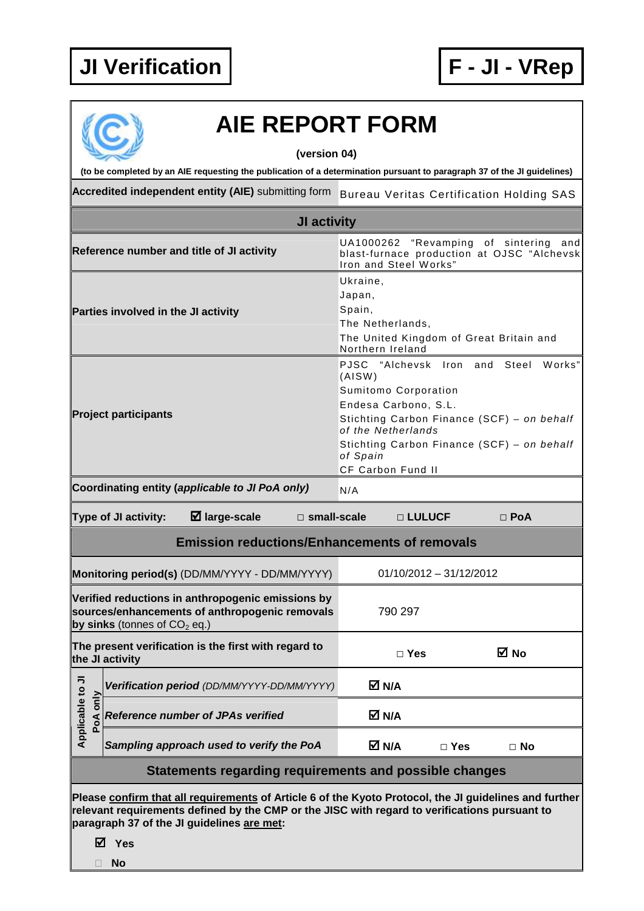

## **AIE REPORT FORM**

**(version 04)** 

**(to be completed by an AIE requesting the publication of a determination pursuant to paragraph 37 of the JI guidelines)** 

Accredited independent entity (AIE) submitting form Bureau Veritas Certification Holding SAS

| JI activity                                                                                                                                                                                                                                           |                                                                             |                                                                                                                                                                                                                                                      |                         |  |  |  |  |
|-------------------------------------------------------------------------------------------------------------------------------------------------------------------------------------------------------------------------------------------------------|-----------------------------------------------------------------------------|------------------------------------------------------------------------------------------------------------------------------------------------------------------------------------------------------------------------------------------------------|-------------------------|--|--|--|--|
|                                                                                                                                                                                                                                                       | Reference number and title of JI activity                                   | "Revamping of sintering<br>UA1000262<br>and<br>blast-furnace production at OJSC "Alchevsk<br>Iron and Steel Works"                                                                                                                                   |                         |  |  |  |  |
| Parties involved in the JI activity                                                                                                                                                                                                                   |                                                                             | Ukraine,<br>Japan,<br>Spain,<br>The Netherlands,<br>The United Kingdom of Great Britain and<br>Northern Ireland                                                                                                                                      |                         |  |  |  |  |
| <b>Project participants</b>                                                                                                                                                                                                                           |                                                                             | PJSC "Alchevsk Iron and Steel<br>Works"<br>(AISW)<br>Sumitomo Corporation<br>Endesa Carbono, S.L.<br>Stichting Carbon Finance (SCF) - on behalf<br>of the Netherlands<br>Stichting Carbon Finance (SCF) - on behalf<br>of Spain<br>CF Carbon Fund II |                         |  |  |  |  |
|                                                                                                                                                                                                                                                       | Coordinating entity (applicable to JI PoA only)<br>N/A                      |                                                                                                                                                                                                                                                      |                         |  |  |  |  |
| $\boxtimes$ large-scale<br>Type of JI activity:<br>$\square$ small-scale<br>□ LULUCF<br>$\Box$ PoA                                                                                                                                                    |                                                                             |                                                                                                                                                                                                                                                      |                         |  |  |  |  |
| <b>Emission reductions/Enhancements of removals</b>                                                                                                                                                                                                   |                                                                             |                                                                                                                                                                                                                                                      |                         |  |  |  |  |
|                                                                                                                                                                                                                                                       | $01/10/2012 - 31/12/2012$<br>Monitoring period(s) (DD/MM/YYYY - DD/MM/YYYY) |                                                                                                                                                                                                                                                      |                         |  |  |  |  |
| Verified reductions in anthropogenic emissions by<br>sources/enhancements of anthropogenic removals<br>by sinks (tonnes of $CO2$ eq.)                                                                                                                 |                                                                             | 790 297                                                                                                                                                                                                                                              |                         |  |  |  |  |
| The present verification is the first with regard to<br>the JI activity                                                                                                                                                                               |                                                                             | ⊠ No<br>$\Box$ Yes                                                                                                                                                                                                                                   |                         |  |  |  |  |
| ゠                                                                                                                                                                                                                                                     | Verification period (DD/MM/YYYY-DD/MM/YYYY)                                 | M N/A                                                                                                                                                                                                                                                |                         |  |  |  |  |
| Applicable to<br>PoA only                                                                                                                                                                                                                             | <b>Reference number of JPAs verified</b>                                    | M N/A                                                                                                                                                                                                                                                |                         |  |  |  |  |
|                                                                                                                                                                                                                                                       | Sampling approach used to verify the PoA                                    | M N/A                                                                                                                                                                                                                                                | $\Box$ Yes<br>$\Box$ No |  |  |  |  |
| Statements regarding requirements and possible changes                                                                                                                                                                                                |                                                                             |                                                                                                                                                                                                                                                      |                         |  |  |  |  |
| Please confirm that all requirements of Article 6 of the Kyoto Protocol, the JI guidelines and further<br>relevant requirements defined by the CMP or the JISC with regard to verifications pursuant to<br>paragraph 37 of the JI guidelines are met: |                                                                             |                                                                                                                                                                                                                                                      |                         |  |  |  |  |

**Yes** 

**No**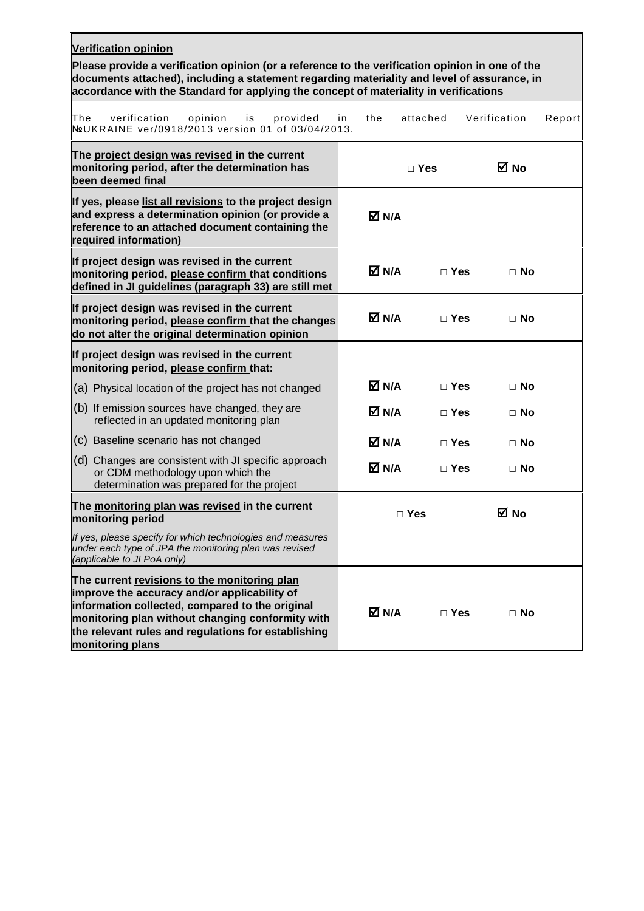| <b>Verification opinion</b><br>Please provide a verification opinion (or a reference to the verification opinion in one of the                                                                                                                                                 |              |            |              |        |  |  |  |  |  |
|--------------------------------------------------------------------------------------------------------------------------------------------------------------------------------------------------------------------------------------------------------------------------------|--------------|------------|--------------|--------|--|--|--|--|--|
| documents attached), including a statement regarding materiality and level of assurance, in<br>accordance with the Standard for applying the concept of materiality in verifications                                                                                           |              |            |              |        |  |  |  |  |  |
| The<br>verification<br>opinion<br>provided<br>is<br>NºUKRAINE ver/0918/2013 version 01 of 03/04/2013.                                                                                                                                                                          | the<br>in    | attached   | Verification | Report |  |  |  |  |  |
| The project design was revised in the current<br>monitoring period, after the determination has<br>been deemed final                                                                                                                                                           |              | $\Box$ Yes | <b>⊠</b> No  |        |  |  |  |  |  |
| If yes, please list all revisions to the project design<br>and express a determination opinion (or provide a<br>reference to an attached document containing the<br>required information)                                                                                      | M N/A        |            |              |        |  |  |  |  |  |
| If project design was revised in the current<br>monitoring period, please confirm that conditions<br>defined in JI guidelines (paragraph 33) are still met                                                                                                                     | M N/A        | $\Box$ Yes | $\Box$ No    |        |  |  |  |  |  |
| If project design was revised in the current<br>monitoring period, please confirm that the changes<br>do not alter the original determination opinion                                                                                                                          | M N/A        | $\Box$ Yes | $\Box$ No    |        |  |  |  |  |  |
| If project design was revised in the current<br>monitoring period, please confirm that:                                                                                                                                                                                        |              |            |              |        |  |  |  |  |  |
| (a) Physical location of the project has not changed                                                                                                                                                                                                                           | <b>⊠ N/A</b> | $\Box$ Yes | $\Box$ No    |        |  |  |  |  |  |
| (b) If emission sources have changed, they are<br>reflected in an updated monitoring plan                                                                                                                                                                                      | M N/A        | $\Box$ Yes | $\Box$ No    |        |  |  |  |  |  |
| (c) Baseline scenario has not changed                                                                                                                                                                                                                                          | M N/A        | $\Box$ Yes | ⊟ No         |        |  |  |  |  |  |
| (d) Changes are consistent with JI specific approach<br>or CDM methodology upon which the<br>determination was prepared for the project                                                                                                                                        | M N/A        | $\Box$ Yes | $\Box$ No    |        |  |  |  |  |  |
| The monitoring plan was revised in the current<br>monitoring period                                                                                                                                                                                                            | $\Box$ Yes   |            | ⊠ No         |        |  |  |  |  |  |
| If yes, please specify for which technologies and measures<br>under each type of JPA the monitoring plan was revised<br>(applicable to JI PoA only)                                                                                                                            |              |            |              |        |  |  |  |  |  |
| The current revisions to the monitoring plan<br>improve the accuracy and/or applicability of<br>information collected, compared to the original<br>monitoring plan without changing conformity with<br>the relevant rules and regulations for establishing<br>monitoring plans | M N/A        | $\Box$ Yes | $\Box$ No    |        |  |  |  |  |  |